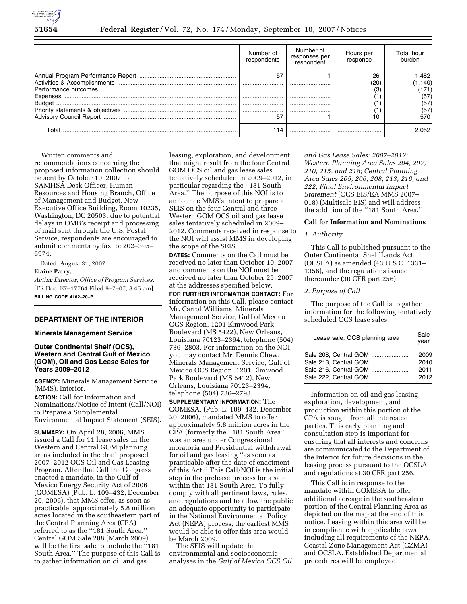

|                    | Number of<br>respondents | Number of<br>responses per<br>respondent | Hours per<br>response | Total hour<br>burden                           |
|--------------------|--------------------------|------------------------------------------|-----------------------|------------------------------------------------|
| Expenses<br>Budget | 57<br><br><br><br>-57    | <br><br><br><br>                         | 26<br>(20)<br>10      | 82. ا<br>(1,140)<br>(57)<br>(57)<br>(57<br>570 |
| ⊺otal              | 114                      |                                          |                       | 2.052                                          |

Written comments and recommendations concerning the proposed information collection should be sent by October 10, 2007 to: SAMHSA Desk Officer, Human Resources and Housing Branch, Office of Management and Budget, New Executive Office Building, Room 10235, Washington, DC 20503; due to potential delays in OMB's receipt and processing of mail sent through the U.S. Postal Service, respondents are encouraged to submit comments by fax to: 202–395– 6974.

Dated: August 31, 2007.

## **Elaine Parry,**

*Acting Director, Office of Program Services.*  [FR Doc. E7–17764 Filed 9–7–07; 8:45 am] **BILLING CODE 4162–20–P** 

## **DEPARTMENT OF THE INTERIOR**

#### **Minerals Management Service**

# **Outer Continental Shelf (OCS), Western and Central Gulf of Mexico (GOM), Oil and Gas Lease Sales for Years 2009–2012**

**AGENCY:** Minerals Management Service (MMS), Interior.

**ACTION:** Call for Information and Nominations/Notice of Intent (Call/NOI) to Prepare a Supplemental Environmental Impact Statement (SEIS).

**SUMMARY:** On April 28, 2006, MMS issued a Call for 11 lease sales in the Western and Central GOM planning areas included in the draft proposed 2007–2012 OCS Oil and Gas Leasing Program. After that Call the Congress enacted a mandate, in the Gulf of Mexico Energy Security Act of 2006 (GOMESA) (Pub. L. 109–432, December 20, 2006), that MMS offer, as soon as practicable, approximately 5.8 million acres located in the southeastern part of the Central Planning Area (CPA) referred to as the ''181 South Area.'' Central GOM Sale 208 (March 2009) will be the first sale to include the ''181 South Area.'' The purpose of this Call is to gather information on oil and gas

leasing, exploration, and development that might result from the four Central GOM OCS oil and gas lease sales tentatively scheduled in 2009–2012, in particular regarding the ''181 South Area.'' The purpose of this NOI is to announce MMS's intent to prepare a SEIS on the four Central and three Western GOM OCS oil and gas lease sales tentatively scheduled in 2009– 2012. Comments received in response to the NOI will assist MMS in developing the scope of the SEIS.

**DATES:** Comments on the Call must be received no later than October 10, 2007 and comments on the NOI must be received no later than October 25, 2007 at the addresses specified below.

**FOR FURTHER INFORMATION CONTACT:** For information on this Call, please contact Mr. Carrol Williams, Minerals Management Service, Gulf of Mexico OCS Region, 1201 Elmwood Park Boulevard (MS 5422), New Orleans, Louisiana 70123–2394, telephone (504) 736–2803. For information on the NOI, you may contact Mr. Dennis Chew, Minerals Management Service, Gulf of Mexico OCS Region, 1201 Elmwood Park Boulevard (MS 5412), New Orleans, Louisiana 70123–2394, telephone (504) 736–2793.

**SUPPLEMENTARY INFORMATION:** The GOMESA, (Pub. L. 109–432, December 20, 2006), mandated MMS to offer approximately 5.8 million acres in the CPA (formerly the ''181 South Area'' was an area under Congressional moratoria and Presidential withdrawal for oil and gas leasing ''as soon as practicable after the date of enactment of this Act.'' This Call/NOI is the initial step in the prelease process for a sale within that 181 South Area. To fully comply with all pertinent laws, rules, and regulations and to allow the public an adequate opportunity to participate in the National Environmental Policy Act (NEPA) process, the earliest MMS would be able to offer this area would be March 2009.

The SEIS will update the environmental and socioeconomic analyses in the *Gulf of Mexico OCS Oil*  *and Gas Lease Sales: 2007–2012; Western Planning Area Sales 204, 207, 210, 215, and 218; Central Planning Area Sales 205, 206, 208, 213, 216, and 222, Final Environmental Impact Statement* (OCS EIS/EA MMS 2007– 018) (Multisale EIS) and will address the addition of the ''181 South Area.''

#### **Call for Information and Nominations**

#### *1. Authority*

This Call is published pursuant to the Outer Continental Shelf Lands Act (OCSLA) as amended (43 U.S.C. 1331– 1356), and the regulations issued thereunder (30 CFR part 256).

#### *2. Purpose of Call*

The purpose of the Call is to gather information for the following tentatively scheduled OCS lease sales:

| Lease sale, OCS planning area | Sale<br>vear |
|-------------------------------|--------------|
| Sale 208. Central GOM         | 2009         |
| Sale 213, Central GOM         | 2010         |
| Sale 216, Central GOM         | 2011         |
| Sale 222, Central GOM         | 2012         |

Information on oil and gas leasing, exploration, development, and production within this portion of the CPA is sought from all interested parties. This early planning and consultation step is important for ensuring that all interests and concerns are communicated to the Department of the Interior for future decisions in the leasing process pursuant to the OCSLA and regulations at 30 CFR part 256.

This Call is in response to the mandate within GOMESA to offer additional acreage in the southeastern portion of the Central Planning Area as depicted on the map at the end of this notice. Leasing within this area will be in compliance with applicable laws including all requirements of the NEPA, Coastal Zone Management Act (CZMA) and OCSLA. Established Departmental procedures will be employed.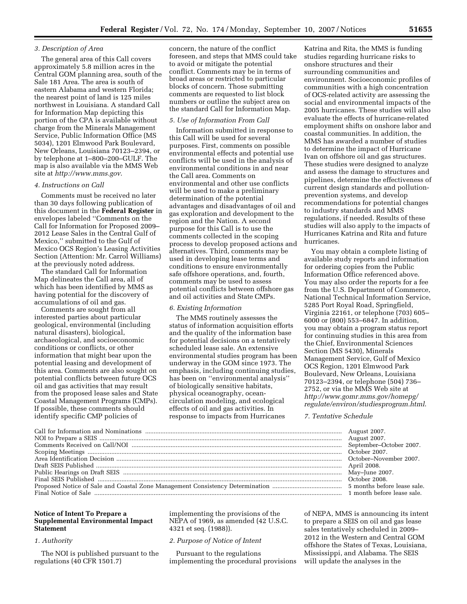## *3. Description of Area*

The general area of this Call covers approximately 5.8 million acres in the Central GOM planning area, south of the Sale 181 Area. The area is south of eastern Alabama and western Florida; the nearest point of land is 125 miles northwest in Louisiana. A standard Call for Information Map depicting this portion of the CPA is available without charge from the Minerals Management Service, Public Information Office (MS 5034), 1201 Elmwood Park Boulevard, New Orleans, Louisiana 70123–2394, or by telephone at 1–800–200–GULF. The map is also available via the MMS Web site at *http://www.mms.gov*.

### *4. Instructions on Call*

Comments must be received no later than 30 days following publication of this document in the **Federal Register** in envelopes labeled ''Comments on the Call for Information for Proposed 2009– 2012 Lease Sales in the Central Gulf of Mexico,'' submitted to the Gulf of Mexico OCS Region's Leasing Activities Section (Attention: Mr. Carrol Williams) at the previously noted address.

The standard Call for Information Map delineates the Call area, all of which has been identified by MMS as having potential for the discovery of accumulations of oil and gas.

Comments are sought from all interested parties about particular geological, environmental (including natural disasters), biological, archaeological, and socioeconomic conditions or conflicts, or other information that might bear upon the potential leasing and development of this area. Comments are also sought on potential conflicts between future OCS oil and gas activities that may result from the proposed lease sales and State Coastal Management Programs (CMPs). If possible, these comments should identify specific CMP policies of

concern, the nature of the conflict foreseen, and steps that MMS could take to avoid or mitigate the potential conflict. Comments may be in terms of broad areas or restricted to particular blocks of concern. Those submitting comments are requested to list block numbers or outline the subject area on the standard Call for Information Map.

## *5. Use of Information From Call*

Information submitted in response to this Call will be used for several purposes. First, comments on possible environmental effects and potential use conflicts will be used in the analysis of environmental conditions in and near the Call area. Comments on environmental and other use conflicts will be used to make a preliminary determination of the potential advantages and disadvantages of oil and gas exploration and development to the region and the Nation. A second purpose for this Call is to use the comments collected in the scoping process to develop proposed actions and alternatives. Third, comments may be used in developing lease terms and conditions to ensure environmentally safe offshore operations, and, fourth, comments may be used to assess potential conflicts between offshore gas and oil activities and State CMPs.

#### *6. Existing Information*

The MMS routinely assesses the status of information acquisition efforts and the quality of the information base for potential decisions on a tentatively scheduled lease sale. An extensive environmental studies program has been underway in the GOM since 1973. The emphasis, including continuing studies, has been on ''environmental analysis'' of biologically sensitive habitats, physical oceanography, oceancirculation modeling, and ecological effects of oil and gas activities. In response to impacts from Hurricanes

Katrina and Rita, the MMS is funding studies regarding hurricane risks to onshore structures and their surrounding communities and environment. Socioeconomic profiles of communities with a high concentration of OCS-related activity are assessing the social and environmental impacts of the 2005 hurricanes. These studies will also evaluate the effects of hurricane-related employment shifts on onshore labor and coastal communities. In addition, the MMS has awarded a number of studies to determine the impact of Hurricane Ivan on offshore oil and gas structures. These studies were designed to analyze and assess the damage to structures and pipelines, determine the effectiveness of current design standards and pollutionprevention systems, and develop recommendations for potential changes to industry standards and MMS regulations, if needed. Results of these studies will also apply to the impacts of Hurricanes Katrina and Rita and future hurricanes.

You may obtain a complete listing of available study reports and information for ordering copies from the Public Information Office referenced above. You may also order the reports for a fee from the U.S. Department of Commerce, National Technical Information Service, 5285 Port Royal Road, Springfield, Virginia 22161, or telephone (703) 605– 6000 or (800) 553–6847. In addition, you may obtain a program status report for continuing studies in this area from the Chief, Environmental Sciences Section (MS 5430), Minerals Management Service, Gulf of Mexico OCS Region, 1201 Elmwood Park Boulevard, New Orleans, Louisiana 70123–2394, or telephone (504) 736– 2752, or via the MMS Web site at *http://www.gomr.mms.gov/homepg/ regulate/environ/studiesprogram.html*.

### *7. Tentative Schedule*

## **Notice of Intent To Prepare a Supplemental Environmental Impact Statement**

# *1. Authority*

The NOI is published pursuant to the regulations (40 CFR 1501.7)

implementing the provisions of the NEPA of 1969, as amended (42 U.S.C. 4321 et seq. (1988)).

### *2. Purpose of Notice of Intent*

Pursuant to the regulations implementing the procedural provisions of NEPA, MMS is announcing its intent to prepare a SEIS on oil and gas lease sales tentatively scheduled in 2009– 2012 in the Western and Central GOM offshore the States of Texas, Louisiana, Mississippi, and Alabama. The SEIS will update the analyses in the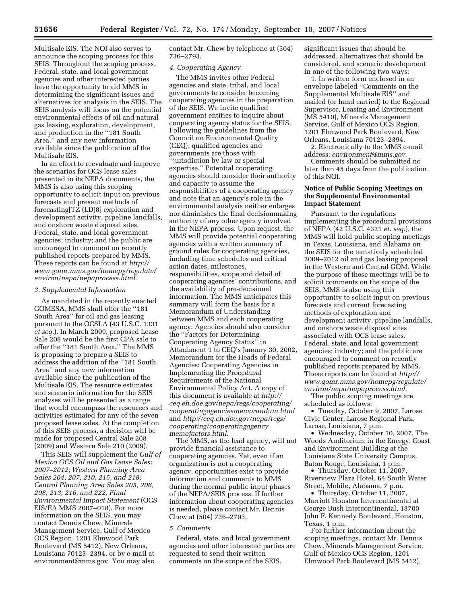Multisale EIS. The NOI also serves to announce the scoping process for this SEIS. Throughout the scoping process, Federal, state, and local government agencies and other interested parties have the opportunity to aid MMS in determining the significant issues and alternatives for analysis in the SEIS. The SEIS analysis will focus on the potential environmental effects of oil and natural gas leasing, exploration, development, and production in the ''181 South Area,'' and any new information available since the publication of the Multisale EIS.

In an effort to reevaluate and improve the scenarios for OCS lease sales presented in its NEPA documents, the MMS is also using this scoping opportunity to solicit input on previous forecasts and present methods of forecasting[TZ (LD)8] exploration and development activity, pipeline landfalls, and onshore waste disposal sites. Federal, state, and local government agencies; industry; and the public are encouraged to comment on recently published reports prepared by MMS. These reports can be found at *http:// www.gomr.mms.gov/homepg/regulate/ environ/nepa/nepaprocess.html*.

#### *3. Supplemental Information*

As mandated in the recently enacted GOMESA, MMS shall offer the ''181 South Area'' for oil and gas leasing pursuant to the OCSLA (43 U.S.C. 1331 *et seq.*). In March 2009, proposed Lease Sale 208 would be the first CPA sale to offer the ''181 South Area.'' The MMS is proposing to prepare a SEIS to address the addition of the ''181 South Area'' and any new information available since the publication of the Multisale EIS. The resource estimates and scenario information for the SEIS analyses will be presented as a range that would encompass the resources and activities estimated for any of the seven proposed lease sales. At the completion of this SEIS process, a decision will be made for proposed Central Sale 208 (2009) and Western Sale 210 (2009).

This SEIS will supplement the *Gulf of Mexico OCS Oil and Gas Lease Sales: 2007–2012; Western Planning Area Sales 204, 207, 210, 215, and 218; Central Planning Area Sales 205, 206, 208, 213, 216, and 222, Final Environmental Impact Statement* (OCS EIS/EA MMS 2007–018). For more information on the SEIS, you may contact Dennis Chew, Minerals Management Service, Gulf of Mexico OCS Region, 1201 Elmwood Park Boulevard (MS 5412), New Orleans, Louisiana 70123–2394, or by e-mail at environment@mms.gov. You may also

contact Mr. Chew by telephone at (504) 736–2793.

#### *4. Cooperating Agency*

The MMS invites other Federal agencies and state, tribal, and local governments to consider becoming cooperating agencies in the preparation of the SEIS. We invite qualified government entities to inquire about cooperating agency status for the SEIS. Following the guidelines from the Council on Environmental Quality (CEQ), qualified agencies and governments are those with 'jurisdiction by law or special expertise.'' Potential cooperating agencies should consider their authority and capacity to assume the responsibilities of a cooperating agency and note that an agency's role in the environmental analysis neither enlarges nor diminishes the final decisionmaking authority of any other agency involved in the NEPA process. Upon request, the MMS will provide potential cooperating agencies with a written summary of ground rules for cooperating agencies, including time schedules and critical action dates, milestones, responsibilities, scope and detail of cooperating agencies' contributions, and the availability of pre-decisional information. The MMS anticipates this summary will form the basis for a Memorandum of Understanding between MMS and each cooperating agency. Agencies should also consider the ''Factors for Determining Cooperating Agency Status'' in Attachment 1 to CEQ's January 30, 2002, Memorandum for the Heads of Federal Agencies: Cooperating Agencies in Implementing the Procedural Requirements of the National Environmental Policy Act. A copy of this document is available at *http:// ceq.eh.doe.gov/nepa/regs/cooperating/ cooperatingagenciesmemorandum.html*  and *http://ceq.eh.doe.gov/nepa/regs/ cooperating/cooperatingagency memofactors.html*.

The MMS, as the lead agency, will not provide financial assistance to cooperating agencies. Yet, even if an organization is not a cooperating agency, opportunities exist to provide information and comments to MMS during the normal public input phases of the NEPA/SEIS process. If further information about cooperating agencies is needed, please contact Mr. Dennis Chew at (504) 736–2793.

#### *5. Comments*

Federal, state, and local government agencies and other interested parties are requested to send their written comments on the scope of the SEIS,

significant issues that should be addressed, alternatives that should be considered, and scenario development in one of the following two ways:

1. In written form enclosed in an envelope labeled ''Comments on the Supplemental Multisale EIS'' and mailed (or hand carried) to the Regional Supervisor, Leasing and Environment (MS 5410), Minerals Management Service, Gulf of Mexico OCS Region, 1201 Elmwood Park Boulevard, New Orleans, Louisiana 70123–2394.

2. Electronically to the MMS e-mail address: *environment@mms.gov*.

Comments should be submitted no later than 45 days from the publication of this NOI.

## **Notice of Public Scoping Meetings on the Supplemental Environmental Impact Statement**

Pursuant to the regulations implementing the procedural provisions of NEPA (42 U.S.C. 4321 *et. seq.*), the MMS will hold public scoping meetings in Texas, Louisiana, and Alabama on the SEIS for the tentatively scheduled 2009–2012 oil and gas leasing proposal in the Western and Central GOM. While the purpose of these meetings will be to solicit comments on the scope of the SEIS, MMS is also using this opportunity to solicit input on previous forecasts and current forecasting methods of exploration and development activity, pipeline landfalls, and onshore waste disposal sites associated with OCS lease sales. Federal, state, and local government agencies; industry; and the public are encouraged to comment on recently published reports prepared by MMS. These reports can be found at *http:// www.gomr.mms.gov/homepg/regulate/ environ/nepa/nepaprocess.html*.

The public scoping meetings are scheduled as follows:

• Tuesday, October 9, 2007, Larose Civic Center, Larose Regional Park, Larose, Louisiana, 7 p.m.

• Wednesday, October 10, 2007, The Woods Auditorium in the Energy, Coast and Environment Building at the Louisiana State University Campus, Baton Rouge, Louisiana, 1 p.m.

• Thursday, October 11, 2007, Riverview Plaza Hotel, 64 South Water Street, Mobile, Alabama, 7 p.m.

• Thursday, October 11, 2007, Marriott Houston Intercontinental at George Bush Intercontinental, 18700 John F. Kennedy Boulevard, Houston, Texas, 1 p.m.

For further information about the scoping meetings, contact Mr. Dennis Chew, Minerals Management Service, Gulf of Mexico OCS Region, 1201 Elmwood Park Boulevard (MS 5412),